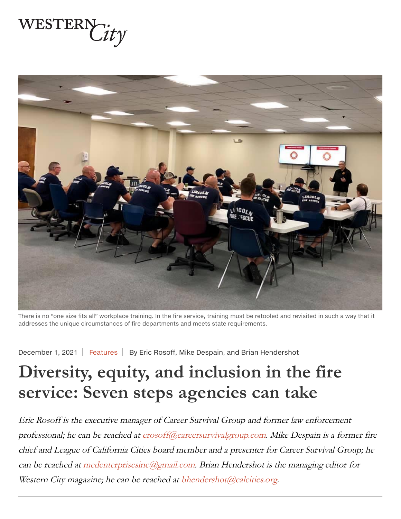



There is no "one size fits all" workplace training. In the fire service, training must be retooled and revisited in such a way that it addresses the unique circumstances of fire departments and meets state requirements.

December 1, 2021 | Features | By Eric Rosoff, Mike Despain, and Brian Hendershot

# Diversity, equity, and inclusion in the fire service: Seven steps agencies can take

Eric Rosoff is the executive manager of Career Survival Group and former law enforcement professional; he can be reached at erosoff@careersurvivalgroup.com. Mike Despain is a former fire chief and League of California Cities board member and a presenter for Career Survival Group; he can be reached at medenterprisesinc@gmail.com. Brian Hendershot is the managing editor for Western City magazine; he can be reached at bhendershot@calcities.org.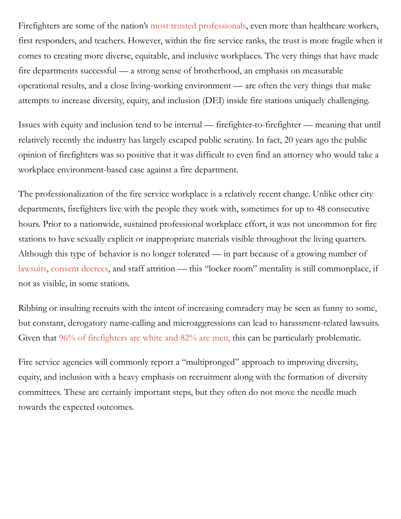Firefighters are some of the nation's most trusted professionals, even more than healthcare workers, first responders, and teachers. However, within the fire service ranks, the trust is more fragile when it comes to creating more diverse, equitable, and inclusive workplaces. The very things that have made fire departments successful — a strong sense of brotherhood, an emphasis on measurable operational results, and a close living-working environment — are often the very things that make attempts to increase diversity, equity, and inclusion (DEI) inside fire stations uniquely challenging.

Issues with equity and inclusion tend to be internal — firefighter-to-firefighter — meaning that until relatively recently the industry has largely escaped public scrutiny. In fact, 20 years ago the public opinion of firefighters was so positive that it was difficult to even find an attorney who would take a workplace environment-based case against a fire department.

The professionalization of the fire service workplace is a relatively recent change. Unlike other city departments, firefighters live with the people they work with, sometimes for up to 48 consecutive hours. Prior to a nationwide, sustained professional workplace effort, it was not uncommon for fire stations to have sexually explicit or inappropriate materials visible throughout the living quarters. Although this type of behavior is no longer tolerated — in part because of a growing number of lawsuits, consent decrees, and staff attrition — this "locker room" mentality is still commonplace, if not as visible, in some stations.

Ribbing or insulting recruits with the intent of increasing comradery may be seen as funny to some, but constant, derogatory name-calling and microaggressions can lead to harassment-related lawsuits. Given that  $96\%$  of firefighters are white and  $82\%$  are men, this can be particularly problematic.

Fire service agencies will commonly report a "multipronged" approach to improving diversity, equity, and inclusion with a heavy emphasis on recruitment along with the formation of diversity committees. These are certainly important steps, but they often do not move the needle much towards the expected outcomes.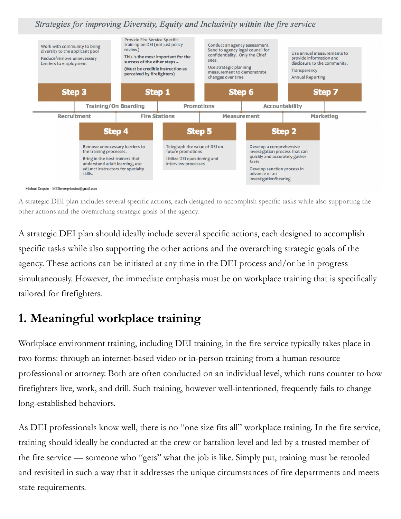Strategies for improving Diversity, Equity and Inclusivity within the fire service



A strategic DEI plan includes several specific actions, each designed to accomplish specific tasks while also supporting the other actions and the overarching strategic goals of the agency.

A strategic DEI plan should ideally include several specific actions, each designed to accomplish specific tasks while also supporting the other actions and the overarching strategic goals of the agency. These actions can be initiated at any time in the DEI process and/or be in progress simultaneously. However, the immediate emphasis must be on workplace training that is specifically tailored for firefighters.

## **1. Meaningful workplace training**

Workplace environment training, including DEI training, in the fire service typically takes place in two forms: through an internet-based video or in-person training from a human resource professional or attorney. Both are often conducted on an individual level, which runs counter to how firefighters live, work, and drill. Such training, however well-intentioned, frequently fails to change long-established behaviors.

As DEI professionals know well, there is no "one size fits all" workplace training. In the fire service, training should ideally be conducted at the crew or battalion level and led by a trusted member of the fire service — someone who "gets" what the job is like. Simply put, training must be retooled and revisited in such a way that it addresses the unique circumstances of fire departments and meets state requirements.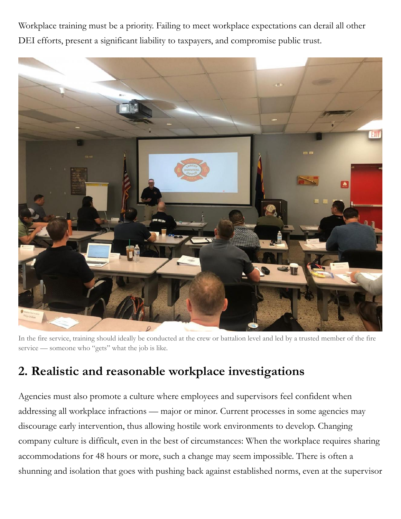Workplace training must be a priority. Failing to meet workplace expectations can derail all other DEI efforts, present a significant liability to taxpayers, and compromise public trust.



In the fire service, training should ideally be conducted at the crew or battalion level and led by a trusted member of the fire service — someone who "gets" what the job is like.

#### 2. Realistic and reasonable workplace investigations

Agencies must also promote a culture where employees and supervisors feel confident when addressing all workplace infractions — major or minor. Current processes in some agencies may discourage early intervention, thus allowing hostile work environments to develop. Changing company culture is difficult, even in the best of circumstances: When the workplace requires sharing accommodations for 48 hours or more, such a change may seem impossible. There is often a shunning and isolation that goes with pushing back against established norms, even at the supervisor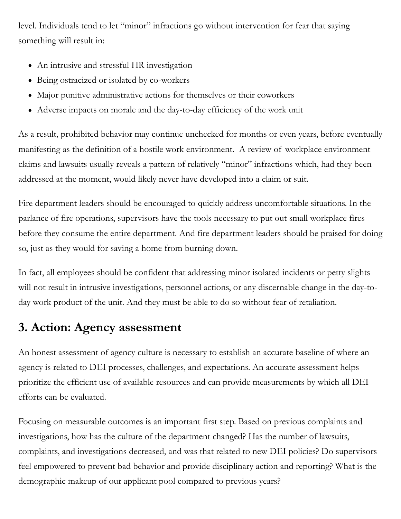level. Individuals tend to let "minor" infractions go without intervention for fear that saying something will result in:

- An intrusive and stressful HR investigation
- Being ostracized or isolated by co-workers
- Major punitive administrative actions for themselves or their coworkers
- Adverse impacts on morale and the day-to-day efficiency of the work unit

As a result, prohibited behavior may continue unchecked for months or even years, before eventually manifesting as the definition of a hostile work environment. A review of workplace environment claims and lawsuits usually reveals a pattern of relatively "minor" infractions which, had they been addressed at the moment, would likely never have developed into a claim or suit.

Fire department leaders should be encouraged to quickly address uncomfortable situations. In the parlance of fire operations, supervisors have the tools necessary to put out small workplace fires before they consume the entire department. And fire department leaders should be praised for doing so, just as they would for saving a home from burning down.

In fact, all employees should be confident that addressing minor isolated incidents or petty slights will not result in intrusive investigations, personnel actions, or any discernable change in the day-today work product of the unit. And they must be able to do so without fear of retaliation.

## **3. Action: Agency assessment**

An honest assessment of agency culture is necessary to establish an accurate baseline of where an agency is related to DEI processes, challenges, and expectations. An accurate assessment helps prioritize the efficient use of available resources and can provide measurements by which all DEI efforts can be evaluated.

Focusing on measurable outcomes is an important first step. Based on previous complaints and investigations, how has the culture of the department changed? Has the number of lawsuits, complaints, and investigations decreased, and was that related to new DEI policies? Do supervisors feel empowered to prevent bad behavior and provide disciplinary action and reporting? What is the demographic makeup of our applicant pool compared to previous years?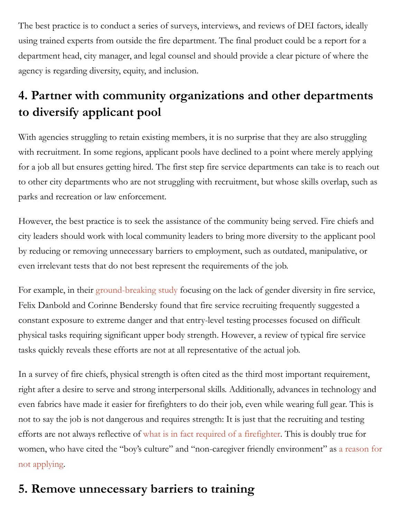The best practice is to conduct a series of surveys, interviews, and reviews of DEI factors, ideally using trained experts from outside the fire department. The final product could be a report for a department head, city manager, and legal counsel and should provide a clear picture of where the agency is regarding diversity, equity, and inclusion.

# **4. Partner with community organizations and other departments** to diversify applicant pool

With agencies struggling to retain existing members, it is no surprise that they are also struggling with recruitment. In some regions, applicant pools have declined to a point where merely applying for a job all but ensures getting hired. The first step fire service departments can take is to reach out to other city departments who are not struggling with recruitment, but whose skills overlap, such as parks and recreation or law enforcement.

However, the best practice is to seek the assistance of the community being served. Fire chiefs and city leaders should work with local community leaders to bring more diversity to the applicant pool by reducing or removing unnecessary barriers to employment, such as outdated, manipulative, or even irrelevant tests that do not best represent the requirements of the job.

For example, in their ground-breaking study focusing on the lack of gender diversity in fire service, Felix Danbold and Corinne Bendersky found that fire service recruiting frequently suggested a constant exposure to extreme danger and that entry-level testing processes focused on difficult physical tasks requiring significant upper body strength. However, a review of typical fire service tasks quickly reveals these efforts are not at all representative of the actual job.

In a survey of fire chiefs, physical strength is often cited as the third most important requirement, right after a desire to serve and strong interpersonal skills. Additionally, advances in technology and even fabrics have made it easier for firefighters to do their job, even while wearing full gear. This is not to say the job is not dangerous and requires strength: It is just that the recruiting and testing efforts are not always reflective of what is in fact required of a firefighter. This is doubly true for women, who have cited the "boy's culture" and "non-caregiver friendly environment" as a reason for not applying.

## **5. Remove unnecessary barriers to training**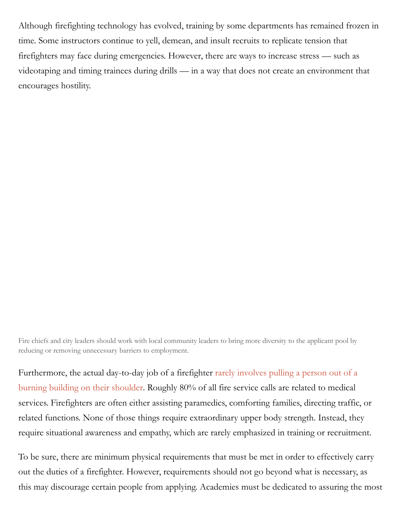Although firefighting technology has evolved, training by some departments has remained frozen in time. Some instructors continue to yell, demean, and insult recruits to replicate tension that firefighters may face during emergencies. However, there are ways to increase stress — such as videotaping and timing trainees during drills — in a way that does not create an environment that encourages hostility.

Fire chiefs and city leaders should work with local community leaders to bring more diversity to the applicant pool by reducing or removing unnecessary barriers to employment.

Furthermore, the actual day-to-day job of a firefighter rarely involves pulling a person out of a burning building on their shoulder. Roughly 80% of all fire service calls are related to medical services. Firefighters are often either assisting paramedics, comforting families, directing traffic, or related functions. None of those things require extraordinary upper body strength. Instead, they require situational awareness and empathy, which are rarely emphasized in training or recruitment.

To be sure, there are minimum physical requirements that must be met in order to effectively carry out the duties of a firefighter. However, requirements should not go beyond what is necessary, as this may discourage certain people from applying. Academies must be dedicated to assuring the most